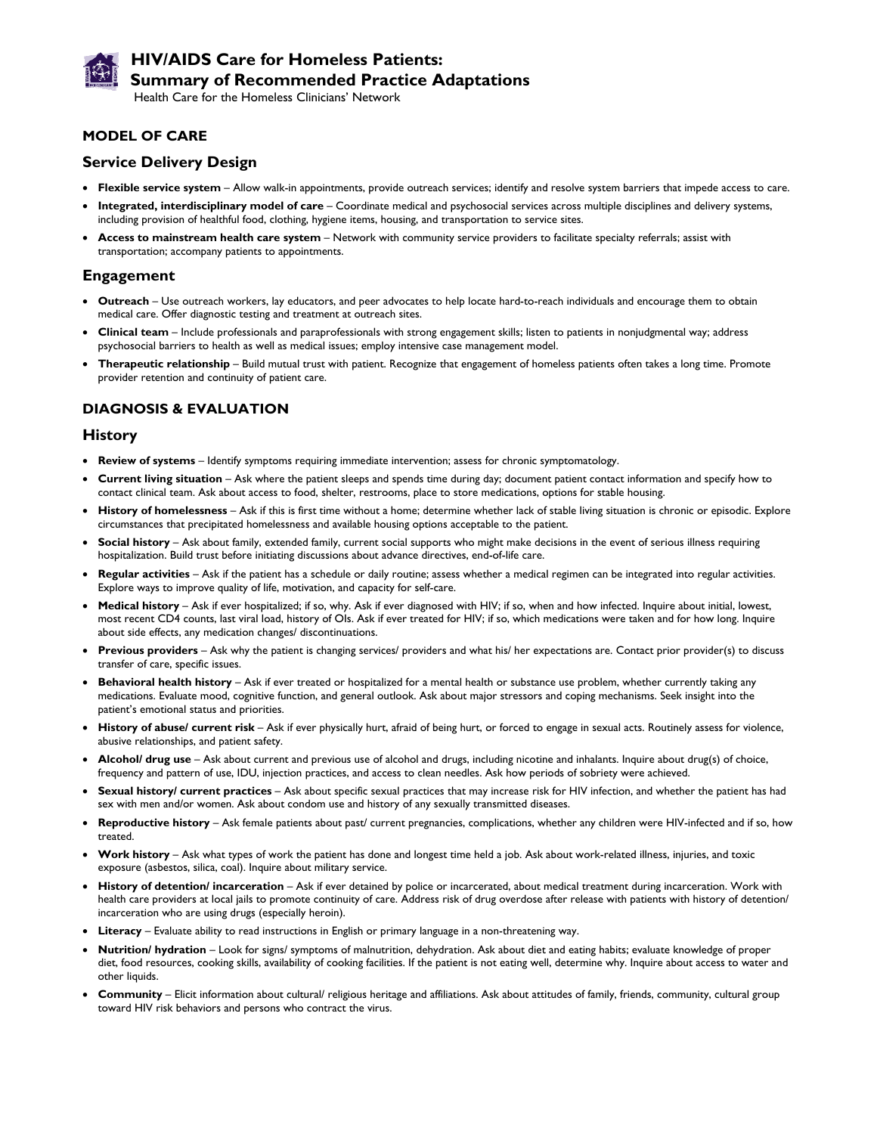

# **HIV/AIDS Care for Homeless Patients: Summary of Recommended Practice Adaptations**

Health Care for the Homeless Clinicians' Network

### **MODEL OF CARE**

### **Service Delivery Design**

- **Flexible service system** Allow walk-in appointments, provide outreach services; identify and resolve system barriers that impede access to care.
- **Integrated, interdisciplinary model of care** Coordinate medical and psychosocial services across multiple disciplines and delivery systems, including provision of healthful food, clothing, hygiene items, housing, and transportation to service sites.
- **Access to mainstream health care system** Network with community service providers to facilitate specialty referrals; assist with transportation; accompany patients to appointments.

## **Engagement**

- **Outreach** Use outreach workers, lay educators, and peer advocates to help locate hard-to-reach individuals and encourage them to obtain medical care. Offer diagnostic testing and treatment at outreach sites.
- **Clinical team** Include professionals and paraprofessionals with strong engagement skills; listen to patients in nonjudgmental way; address psychosocial barriers to health as well as medical issues; employ intensive case management model.
- **Therapeutic relationship** Build mutual trust with patient. Recognize that engagement of homeless patients often takes a long time. Promote provider retention and continuity of patient care.

## **DIAGNOSIS & EVALUATION**

#### **History**

- **Review of systems** Identify symptoms requiring immediate intervention; assess for chronic symptomatology.
- **Current living situation** Ask where the patient sleeps and spends time during day; document patient contact information and specify how to contact clinical team. Ask about access to food, shelter, restrooms, place to store medications, options for stable housing.
- History of homelessness Ask if this is first time without a home; determine whether lack of stable living situation is chronic or episodic. Explore circumstances that precipitated homelessness and available housing options acceptable to the patient.
- **Social history** Ask about family, extended family, current social supports who might make decisions in the event of serious illness requiring hospitalization. Build trust before initiating discussions about advance directives, end-of-life care.
- **Regular activities** Ask if the patient has a schedule or daily routine; assess whether a medical regimen can be integrated into regular activities. Explore ways to improve quality of life, motivation, and capacity for self-care.
- **Medical history**  Ask if ever hospitalized; if so, why. Ask if ever diagnosed with HIV; if so, when and how infected. Inquire about initial, lowest, most recent CD4 counts, last viral load, history of OIs. Ask if ever treated for HIV; if so, which medications were taken and for how long. Inquire about side effects, any medication changes/ discontinuations.
- **Previous providers** Ask why the patient is changing services/ providers and what his/ her expectations are. Contact prior provider(s) to discuss transfer of care, specific issues.
- **Behavioral health history** Ask if ever treated or hospitalized for a mental health or substance use problem, whether currently taking any medications. Evaluate mood, cognitive function, and general outlook. Ask about major stressors and coping mechanisms. Seek insight into the patient's emotional status and priorities.
- **History of abuse/ current risk** Ask if ever physically hurt, afraid of being hurt, or forced to engage in sexual acts. Routinely assess for violence, abusive relationships, and patient safety.
- **Alcohol/ drug use** Ask about current and previous use of alcohol and drugs, including nicotine and inhalants. Inquire about drug(s) of choice, frequency and pattern of use, IDU, injection practices, and access to clean needles. Ask how periods of sobriety were achieved.
- **Sexual history/ current practices** Ask about specific sexual practices that may increase risk for HIV infection, and whether the patient has had sex with men and/or women. Ask about condom use and history of any sexually transmitted diseases.
- **Reproductive history** Ask female patients about past/ current pregnancies, complications, whether any children were HIV-infected and if so, how treated.
- **Work history** Ask what types of work the patient has done and longest time held a job. Ask about work-related illness, injuries, and toxic exposure (asbestos, silica, coal). Inquire about military service.
- **History of detention/ incarceration** Ask if ever detained by police or incarcerated, about medical treatment during incarceration. Work with health care providers at local jails to promote continuity of care. Address risk of drug overdose after release with patients with history of detention/ incarceration who are using drugs (especially heroin).
- **Literacy** Evaluate ability to read instructions in English or primary language in a non-threatening way.
- **Nutrition/ hydration** Look for signs/ symptoms of malnutrition, dehydration. Ask about diet and eating habits; evaluate knowledge of proper diet, food resources, cooking skills, availability of cooking facilities. If the patient is not eating well, determine why. Inquire about access to water and other liquids.
- **Community** Elicit information about cultural/ religious heritage and affiliations. Ask about attitudes of family, friends, community, cultural group toward HIV risk behaviors and persons who contract the virus.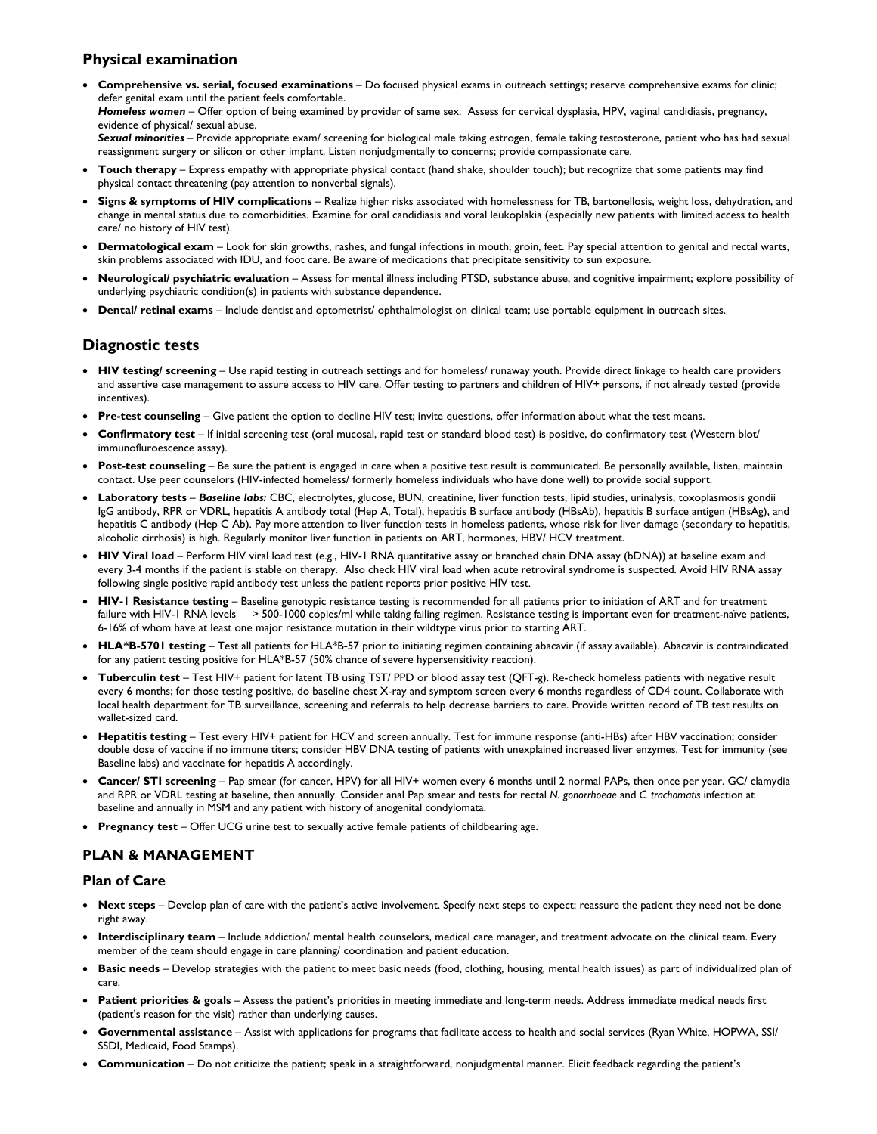## **Physical examination**

 **Comprehensive vs. serial, focused examinations** – Do focused physical exams in outreach settings; reserve comprehensive exams for clinic; defer genital exam until the patient feels comfortable. Homeless women - Offer option of being examined by provider of same sex. Assess for cervical dysplasia, HPV, vaginal candidiasis, pregnancy, evidence of physical/ sexual abuse. *Sexual minorities* – Provide appropriate exam/ screening for biological male taking estrogen, female taking testosterone, patient who has had sexual

reassignment surgery or silicon or other implant. Listen nonjudgmentally to concerns; provide compassionate care.

- **Touch therapy** Express empathy with appropriate physical contact (hand shake, shoulder touch); but recognize that some patients may find physical contact threatening (pay attention to nonverbal signals).
- **Signs & symptoms of HIV complications** Realize higher risks associated with homelessness for TB, bartonellosis, weight loss, dehydration, and change in mental status due to comorbidities. Examine for oral candidiasis and voral leukoplakia (especially new patients with limited access to health care/ no history of HIV test).
- **Dermatological exam** Look for skin growths, rashes, and fungal infections in mouth, groin, feet. Pay special attention to genital and rectal warts, skin problems associated with IDU, and foot care. Be aware of medications that precipitate sensitivity to sun exposure.
- **Neurological/ psychiatric evaluation** Assess for mental illness including PTSD, substance abuse, and cognitive impairment; explore possibility of underlying psychiatric condition(s) in patients with substance dependence.
- **Dental/ retinal exams** Include dentist and optometrist/ ophthalmologist on clinical team; use portable equipment in outreach sites.

## **Diagnostic tests**

- HIV testing/ screening Use rapid testing in outreach settings and for homeless/ runaway youth. Provide direct linkage to health care providers and assertive case management to assure access to HIV care. Offer testing to partners and children of HIV+ persons, if not already tested (provide incentives).
- **Pre-test counseling** Give patient the option to decline HIV test; invite questions, offer information about what the test means.
- **Confirmatory test**  If initial screening test (oral mucosal, rapid test or standard blood test) is positive, do confirmatory test (Western blot/ immunofluroescence assay).
- **Post-test counseling** Be sure the patient is engaged in care when a positive test result is communicated. Be personally available, listen, maintain contact. Use peer counselors (HIV-infected homeless/ formerly homeless individuals who have done well) to provide social support.
- **Laboratory tests** *Baseline labs:* CBC, electrolytes, glucose, BUN, creatinine, liver function tests, lipid studies, urinalysis, toxoplasmosis gondii IgG antibody, RPR or VDRL, hepatitis A antibody total (Hep A, Total), hepatitis B surface antibody (HBsAb), hepatitis B surface antigen (HBsAg), and hepatitis C antibody (Hep C Ab). Pay more attention to liver function tests in homeless patients, whose risk for liver damage (secondary to hepatitis, alcoholic cirrhosis) is high. Regularly monitor liver function in patients on ART, hormones, HBV/ HCV treatment.
- **HIV Viral load** Perform HIV viral load test (e.g., HIV-1 RNA quantitative assay or branched chain DNA assay (bDNA)) at baseline exam and every 3-4 months if the patient is stable on therapy. Also check HIV viral load when acute retroviral syndrome is suspected. Avoid HIV RNA assay following single positive rapid antibody test unless the patient reports prior positive HIV test.
- HIV-1 Resistance testing Baseline genotypic resistance testing is recommended for all patients prior to initiation of ART and for treatment failure with HIV-1 RNA levels > 500-1000 copies/ml while taking failing regimen. Resistance testing is important even for treatment-naïve patients, 6-16% of whom have at least one major resistance mutation in their wildtype virus prior to starting ART.
- **HLA\*B-5701 testing**  Test all patients for HLA\*B-57 prior to initiating regimen containing abacavir (if assay available). Abacavir is contraindicated for any patient testing positive for HLA\*B-57 (50% chance of severe hypersensitivity reaction).
- **Tuberculin test** Test HIV+ patient for latent TB using TST/ PPD or blood assay test (QFT-g). Re-check homeless patients with negative result every 6 months; for those testing positive, do baseline chest X-ray and symptom screen every 6 months regardless of CD4 count. Collaborate with local health department for TB surveillance, screening and referrals to help decrease barriers to care. Provide written record of TB test results on wallet-sized card.
- **Hepatitis testing** Test every HIV+ patient for HCV and screen annually. Test for immune response (anti-HBs) after HBV vaccination; consider double dose of vaccine if no immune titers; consider HBV DNA testing of patients with unexplained increased liver enzymes. Test for immunity (see Baseline labs) and vaccinate for hepatitis A accordingly.
- **Cancer/ STI screening** Pap smear (for cancer, HPV) for all HIV+ women every 6 months until 2 normal PAPs, then once per year. GC/ clamydia and RPR or VDRL testing at baseline, then annually. Consider anal Pap smear and tests for rectal *N. gonorrhoeae* and *C. trachomatis* infection at baseline and annually in MSM and any patient with history of anogenital condylomata.
- **Pregnancy test** Offer UCG urine test to sexually active female patients of childbearing age.

## **PLAN & MANAGEMENT**

#### **Plan of Care**

- **Next steps** Develop plan of care with the patient's active involvement. Specify next steps to expect; reassure the patient they need not be done right away.
- **Interdisciplinary team** Include addiction/ mental health counselors, medical care manager, and treatment advocate on the clinical team. Every member of the team should engage in care planning/ coordination and patient education.
- **Basic needs** Develop strategies with the patient to meet basic needs (food, clothing, housing, mental health issues) as part of individualized plan of care.
- **Patient priorities & goals** Assess the patient's priorities in meeting immediate and long-term needs. Address immediate medical needs first (patient's reason for the visit) rather than underlying causes.
- **Governmental assistance** Assist with applications for programs that facilitate access to health and social services (Ryan White, HOPWA, SSI/ SSDI, Medicaid, Food Stamps).
- **Communication** Do not criticize the patient; speak in a straightforward, nonjudgmental manner. Elicit feedback regarding the patient's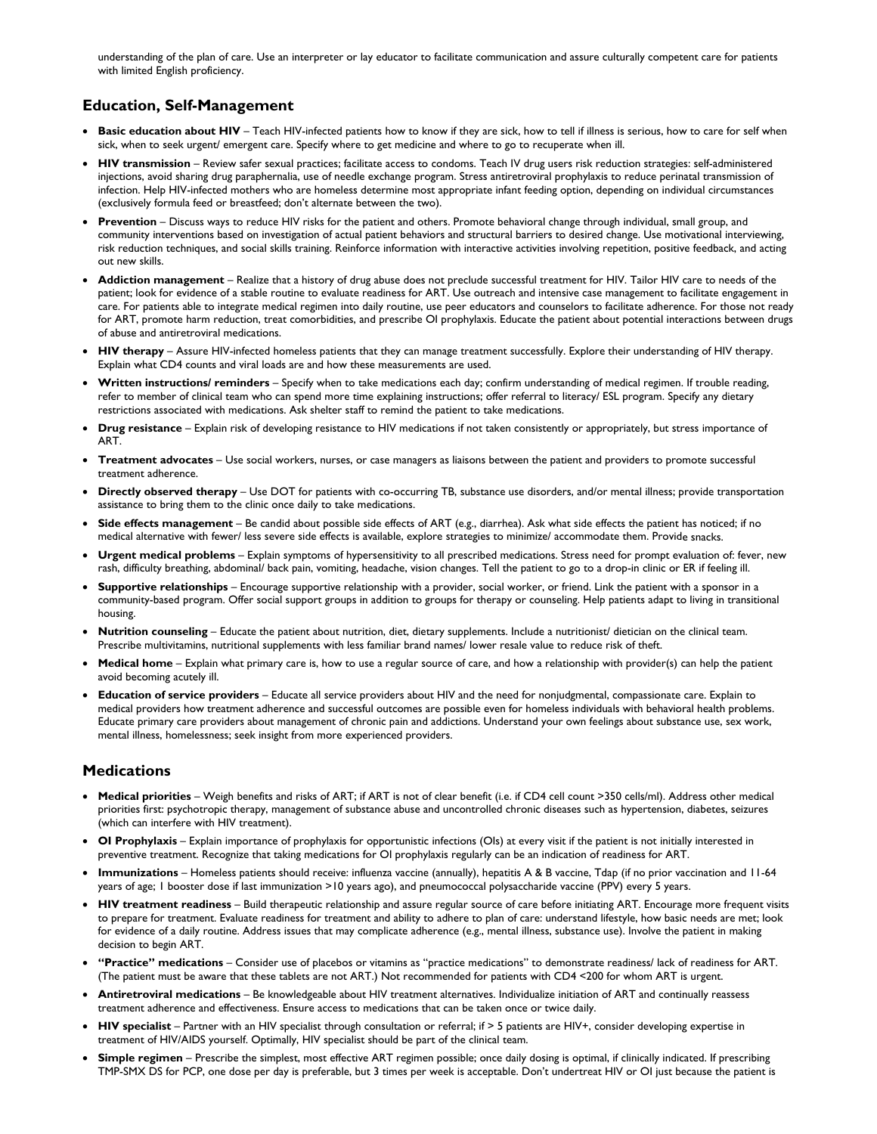understanding of the plan of care. Use an interpreter or lay educator to facilitate communication and assure culturally competent care for patients with limited English proficiency.

## **Education, Self-Management**

- **Basic education about HIV** Teach HIV-infected patients how to know if they are sick, how to tell if illness is serious, how to care for self when sick, when to seek urgent/ emergent care. Specify where to get medicine and where to go to recuperate when ill.
- **HIV transmission** Review safer sexual practices; facilitate access to condoms. Teach IV drug users risk reduction strategies: self-administered injections, avoid sharing drug paraphernalia, use of needle exchange program. Stress antiretroviral prophylaxis to reduce perinatal transmission of infection. Help HIV-infected mothers who are homeless determine most appropriate infant feeding option, depending on individual circumstances (exclusively formula feed or breastfeed; don't alternate between the two).
- **Prevention** Discuss ways to reduce HIV risks for the patient and others. Promote behavioral change through individual, small group, and community interventions based on investigation of actual patient behaviors and structural barriers to desired change. Use motivational interviewing, risk reduction techniques, and social skills training. Reinforce information with interactive activities involving repetition, positive feedback, and acting out new skills.
- **Addiction management** Realize that a history of drug abuse does not preclude successful treatment for HIV. Tailor HIV care to needs of the patient; look for evidence of a stable routine to evaluate readiness for ART. Use outreach and intensive case management to facilitate engagement in care. For patients able to integrate medical regimen into daily routine, use peer educators and counselors to facilitate adherence. For those not ready for ART, promote harm reduction, treat comorbidities, and prescribe OI prophylaxis. Educate the patient about potential interactions between drugs of abuse and antiretroviral medications.
- **HIV therapy** Assure HIV-infected homeless patients that they can manage treatment successfully. Explore their understanding of HIV therapy. Explain what CD4 counts and viral loads are and how these measurements are used.
- **Written instructions/ reminders** Specify when to take medications each day; confirm understanding of medical regimen. If trouble reading, refer to member of clinical team who can spend more time explaining instructions; offer referral to literacy/ ESL program. Specify any dietary restrictions associated with medications. Ask shelter staff to remind the patient to take medications.
- **Drug resistance** Explain risk of developing resistance to HIV medications if not taken consistently or appropriately, but stress importance of ART.
- **Treatment advocates** Use social workers, nurses, or case managers as liaisons between the patient and providers to promote successful treatment adherence.
- **Directly observed therapy** Use DOT for patients with co-occurring TB, substance use disorders, and/or mental illness; provide transportation assistance to bring them to the clinic once daily to take medications.
- **Side effects management** Be candid about possible side effects of ART (e.g., diarrhea). Ask what side effects the patient has noticed; if no medical alternative with fewer/ less severe side effects is available, explore strategies to minimize/ accommodate them. Provide snacks.
- **Urgent medical problems** Explain symptoms of hypersensitivity to all prescribed medications. Stress need for prompt evaluation of: fever, new rash, difficulty breathing, abdominal/ back pain, vomiting, headache, vision changes. Tell the patient to go to a drop-in clinic or ER if feeling ill.
- **Supportive relationships** Encourage supportive relationship with a provider, social worker, or friend. Link the patient with a sponsor in a community-based program. Offer social support groups in addition to groups for therapy or counseling. Help patients adapt to living in transitional housing.
- **Nutrition counseling** Educate the patient about nutrition, diet, dietary supplements. Include a nutritionist/ dietician on the clinical team. Prescribe multivitamins, nutritional supplements with less familiar brand names/ lower resale value to reduce risk of theft.
- **Medical home** Explain what primary care is, how to use a regular source of care, and how a relationship with provider(s) can help the patient avoid becoming acutely ill.
- **Education of service providers** Educate all service providers about HIV and the need for nonjudgmental, compassionate care. Explain to medical providers how treatment adherence and successful outcomes are possible even for homeless individuals with behavioral health problems. Educate primary care providers about management of chronic pain and addictions. Understand your own feelings about substance use, sex work, mental illness, homelessness; seek insight from more experienced providers.

## **Medications**

- **Medical priorities** Weigh benefits and risks of ART; if ART is not of clear benefit (i.e. if CD4 cell count >350 cells/ml). Address other medical priorities first: psychotropic therapy, management of substance abuse and uncontrolled chronic diseases such as hypertension, diabetes, seizures (which can interfere with HIV treatment).
- **OI Prophylaxis** Explain importance of prophylaxis for opportunistic infections (OIs) at every visit if the patient is not initially interested in preventive treatment. Recognize that taking medications for OI prophylaxis regularly can be an indication of readiness for ART.
- **Immunizations** Homeless patients should receive: influenza vaccine (annually), hepatitis A & B vaccine, Tdap (if no prior vaccination and 11-64 years of age; 1 booster dose if last immunization >10 years ago), and pneumococcal polysaccharide vaccine (PPV) every 5 years.
- **HIV treatment readiness** Build therapeutic relationship and assure regular source of care before initiating ART. Encourage more frequent visits to prepare for treatment. Evaluate readiness for treatment and ability to adhere to plan of care: understand lifestyle, how basic needs are met; look for evidence of a daily routine. Address issues that may complicate adherence (e.g., mental illness, substance use). Involve the patient in making decision to begin ART.
- **"Practice" medications** Consider use of placebos or vitamins as "practice medications" to demonstrate readiness/ lack of readiness for ART. (The patient must be aware that these tablets are not ART.) Not recommended for patients with CD4 <200 for whom ART is urgent.
- **Antiretroviral medications** Be knowledgeable about HIV treatment alternatives. Individualize initiation of ART and continually reassess treatment adherence and effectiveness. Ensure access to medications that can be taken once or twice daily.
- HIV specialist Partner with an HIV specialist through consultation or referral; if > 5 patients are HIV+, consider developing expertise in treatment of HIV/AIDS yourself. Optimally, HIV specialist should be part of the clinical team.
- **Simple regimen** Prescribe the simplest, most effective ART regimen possible; once daily dosing is optimal, if clinically indicated. If prescribing TMP-SMX DS for PCP, one dose per day is preferable, but 3 times per week is acceptable. Don't undertreat HIV or OI just because the patient is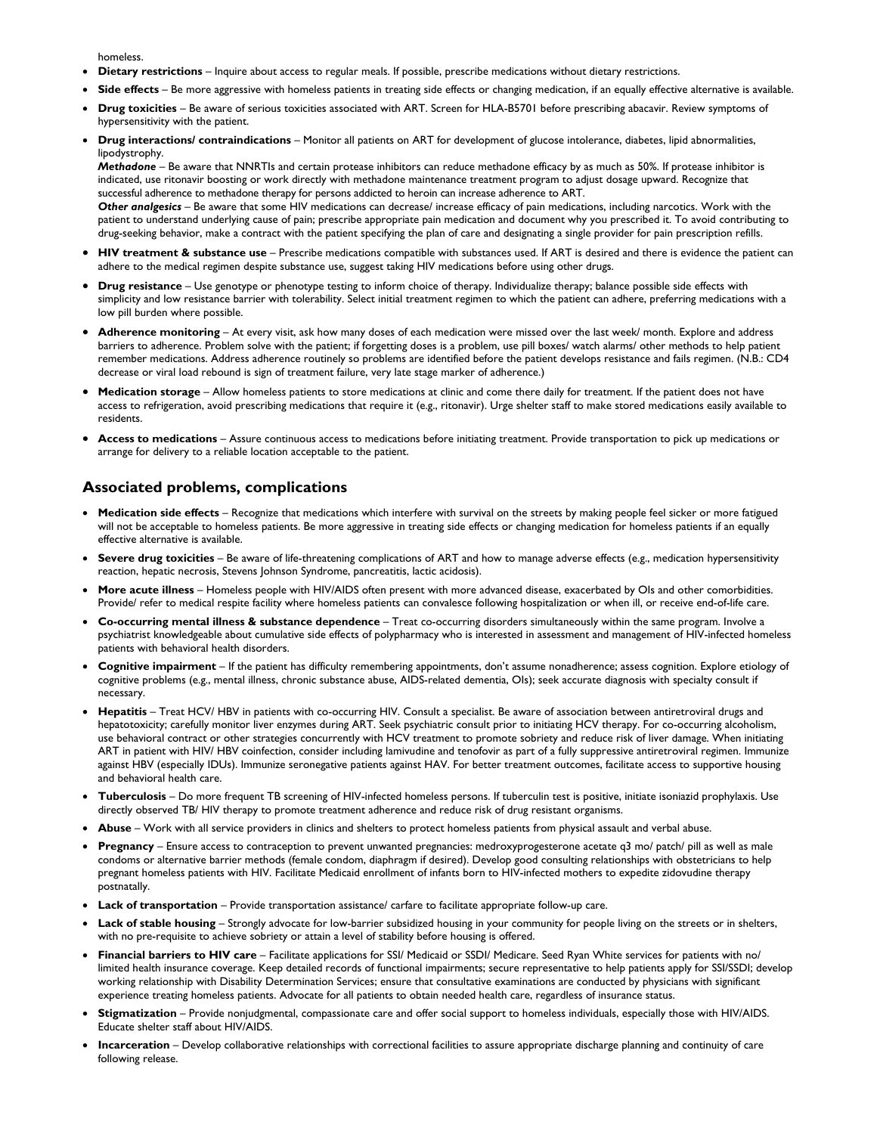homeless.

- **Dietary restrictions** Inquire about access to regular meals. If possible, prescribe medications without dietary restrictions.
- **Side effects** Be more aggressive with homeless patients in treating side effects or changing medication, if an equally effective alternative is available.
- **Drug toxicities** Be aware of serious toxicities associated with ART. Screen for HLA-B5701 before prescribing abacavir. Review symptoms of hypersensitivity with the patient.
- **Drug interactions/ contraindications** Monitor all patients on ART for development of glucose intolerance, diabetes, lipid abnormalities, lipodystrophy.

*Methadone* – Be aware that NNRTIs and certain protease inhibitors can reduce methadone efficacy by as much as 50%. If protease inhibitor is indicated, use ritonavir boosting or work directly with methadone maintenance treatment program to adjust dosage upward. Recognize that successful adherence to methadone therapy for persons addicted to heroin can increase adherence to ART.

*Other analgesics* – Be aware that some HIV medications can decrease/ increase efficacy of pain medications, including narcotics. Work with the patient to understand underlying cause of pain; prescribe appropriate pain medication and document why you prescribed it. To avoid contributing to drug-seeking behavior, make a contract with the patient specifying the plan of care and designating a single provider for pain prescription refills.

- **HIV treatment & substance use** Prescribe medications compatible with substances used. If ART is desired and there is evidence the patient can adhere to the medical regimen despite substance use, suggest taking HIV medications before using other drugs.
- **Drug resistance** Use genotype or phenotype testing to inform choice of therapy. Individualize therapy; balance possible side effects with simplicity and low resistance barrier with tolerability. Select initial treatment regimen to which the patient can adhere, preferring medications with a low pill burden where possible.
- **Adherence monitoring** At every visit, ask how many doses of each medication were missed over the last week/ month. Explore and address barriers to adherence. Problem solve with the patient; if forgetting doses is a problem, use pill boxes/ watch alarms/ other methods to help patient remember medications. Address adherence routinely so problems are identified before the patient develops resistance and fails regimen. (N.B.: CD4 decrease or viral load rebound is sign of treatment failure, very late stage marker of adherence.)
- **Medication storage** Allow homeless patients to store medications at clinic and come there daily for treatment. If the patient does not have access to refrigeration, avoid prescribing medications that require it (e.g., ritonavir). Urge shelter staff to make stored medications easily available to residents.
- **Access to medications** Assure continuous access to medications before initiating treatment. Provide transportation to pick up medications or arrange for delivery to a reliable location acceptable to the patient.

### **Associated problems, complications**

- **Medication side effects** Recognize that medications which interfere with survival on the streets by making people feel sicker or more fatigued will not be acceptable to homeless patients. Be more aggressive in treating side effects or changing medication for homeless patients if an equally effective alternative is available.
- **Severe drug toxicities** Be aware of life-threatening complications of ART and how to manage adverse effects (e.g., medication hypersensitivity reaction, hepatic necrosis, Stevens Johnson Syndrome, pancreatitis, lactic acidosis).
- **More acute illness** Homeless people with HIV/AIDS often present with more advanced disease, exacerbated by OIs and other comorbidities. Provide/ refer to medical respite facility where homeless patients can convalesce following hospitalization or when ill, or receive end-of-life care.
- **Co-occurring mental illness & substance dependence** Treat co-occurring disorders simultaneously within the same program. Involve a psychiatrist knowledgeable about cumulative side effects of polypharmacy who is interested in assessment and management of HIV-infected homeless patients with behavioral health disorders.
- **Cognitive impairment** If the patient has difficulty remembering appointments, don't assume nonadherence; assess cognition. Explore etiology of cognitive problems (e.g., mental illness, chronic substance abuse, AIDS-related dementia, OIs); seek accurate diagnosis with specialty consult if necessary.
- **Hepatitis**  Treat HCV/ HBV in patients with co-occurring HIV. Consult a specialist. Be aware of association between antiretroviral drugs and hepatotoxicity; carefully monitor liver enzymes during ART. Seek psychiatric consult prior to initiating HCV therapy. For co-occurring alcoholism, use behavioral contract or other strategies concurrently with HCV treatment to promote sobriety and reduce risk of liver damage. When initiating ART in patient with HIV/ HBV coinfection, consider including lamivudine and tenofovir as part of a fully suppressive antiretroviral regimen. Immunize against HBV (especially IDUs). Immunize seronegative patients against HAV. For better treatment outcomes, facilitate access to supportive housing and behavioral health care.
- **Tuberculosis** Do more frequent TB screening of HIV-infected homeless persons. If tuberculin test is positive, initiate isoniazid prophylaxis. Use directly observed TB/ HIV therapy to promote treatment adherence and reduce risk of drug resistant organisms.
- **Abuse** Work with all service providers in clinics and shelters to protect homeless patients from physical assault and verbal abuse.
- **Pregnancy** Ensure access to contraception to prevent unwanted pregnancies: medroxyprogesterone acetate q3 mo/ patch/ pill as well as male condoms or alternative barrier methods (female condom, diaphragm if desired). Develop good consulting relationships with obstetricians to help pregnant homeless patients with HIV. Facilitate Medicaid enrollment of infants born to HIV-infected mothers to expedite zidovudine therapy postnatally.
- **Lack of transportation** Provide transportation assistance/ carfare to facilitate appropriate follow-up care.
- **Lack of stable housing** Strongly advocate for low-barrier subsidized housing in your community for people living on the streets or in shelters, with no pre-requisite to achieve sobriety or attain a level of stability before housing is offered.
- **Financial barriers to HIV care** Facilitate applications for SSI/ Medicaid or SSDI/ Medicare. Seed Ryan White services for patients with no/ limited health insurance coverage. Keep detailed records of functional impairments; secure representative to help patients apply for SSI/SSDI; develop working relationship with Disability Determination Services; ensure that consultative examinations are conducted by physicians with significant experience treating homeless patients. Advocate for all patients to obtain needed health care, regardless of insurance status.
- **Stigmatization** Provide nonjudgmental, compassionate care and offer social support to homeless individuals, especially those with HIV/AIDS. Educate shelter staff about HIV/AIDS.
- **Incarceration** Develop collaborative relationships with correctional facilities to assure appropriate discharge planning and continuity of care following release.